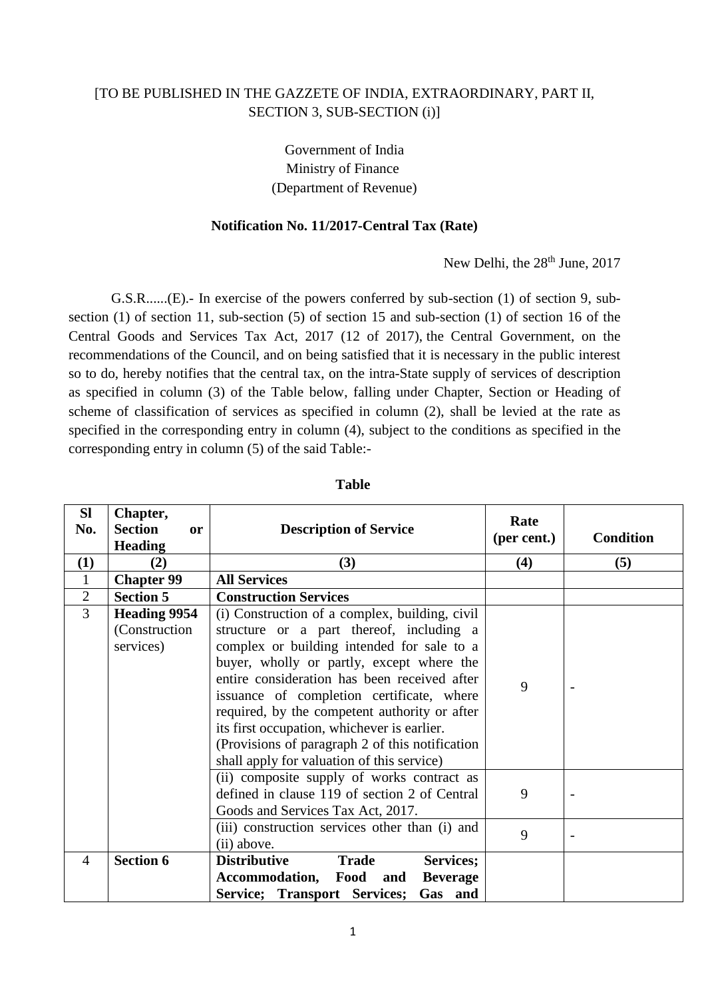## [TO BE PUBLISHED IN THE GAZZETE OF INDIA, EXTRAORDINARY, PART II, SECTION 3, SUB-SECTION (i)]

Government of India Ministry of Finance (Department of Revenue)

## **Notification No. 11/2017-Central Tax (Rate)**

New Delhi, the 28<sup>th</sup> June, 2017

G.S.R......(E).- In exercise of the powers conferred by sub-section (1) of section 9, subsection (1) of section 11, sub-section (5) of section 15 and sub-section (1) of section 16 of the Central Goods and Services Tax Act, 2017 (12 of 2017), the Central Government, on the recommendations of the Council, and on being satisfied that it is necessary in the public interest so to do, hereby notifies that the central tax, on the intra-State supply of services of description as specified in column (3) of the Table below, falling under Chapter, Section or Heading of scheme of classification of services as specified in column (2), shall be levied at the rate as specified in the corresponding entry in column (4), subject to the conditions as specified in the corresponding entry in column (5) of the said Table:-

| <b>SI</b><br>No. | Chapter,<br><b>Section</b><br>or<br><b>Heading</b> | <b>Description of Service</b>                                                                                                                                                                                                                                                                                                                                                                                                                                                        | Rate<br>(per cent.) | <b>Condition</b> |
|------------------|----------------------------------------------------|--------------------------------------------------------------------------------------------------------------------------------------------------------------------------------------------------------------------------------------------------------------------------------------------------------------------------------------------------------------------------------------------------------------------------------------------------------------------------------------|---------------------|------------------|
| (1)              | (2)                                                | (3)                                                                                                                                                                                                                                                                                                                                                                                                                                                                                  | (4)                 | (5)              |
| $\mathbf{1}$     | <b>Chapter 99</b>                                  | <b>All Services</b>                                                                                                                                                                                                                                                                                                                                                                                                                                                                  |                     |                  |
| $\mathbf{2}$     | <b>Section 5</b>                                   | <b>Construction Services</b>                                                                                                                                                                                                                                                                                                                                                                                                                                                         |                     |                  |
| 3                | <b>Heading 9954</b><br>(Construction)<br>services) | (i) Construction of a complex, building, civil<br>structure or a part thereof, including a<br>complex or building intended for sale to a<br>buyer, wholly or partly, except where the<br>entire consideration has been received after<br>issuance of completion certificate, where<br>required, by the competent authority or after<br>its first occupation, whichever is earlier.<br>(Provisions of paragraph 2 of this notification)<br>shall apply for valuation of this service) | 9                   |                  |
|                  |                                                    | (ii) composite supply of works contract as<br>defined in clause 119 of section 2 of Central<br>Goods and Services Tax Act, 2017.<br>(iii) construction services other than (i) and                                                                                                                                                                                                                                                                                                   | 9<br>9              |                  |
|                  |                                                    | (ii) above.                                                                                                                                                                                                                                                                                                                                                                                                                                                                          |                     |                  |
| $\overline{4}$   | <b>Section 6</b>                                   | <b>Distributive</b><br><b>Trade</b><br>Services;                                                                                                                                                                                                                                                                                                                                                                                                                                     |                     |                  |
|                  |                                                    | Accommodation, Food and<br><b>Beverage</b>                                                                                                                                                                                                                                                                                                                                                                                                                                           |                     |                  |
|                  |                                                    | <b>Service; Transport Services;</b><br>Gas and                                                                                                                                                                                                                                                                                                                                                                                                                                       |                     |                  |

## **Table**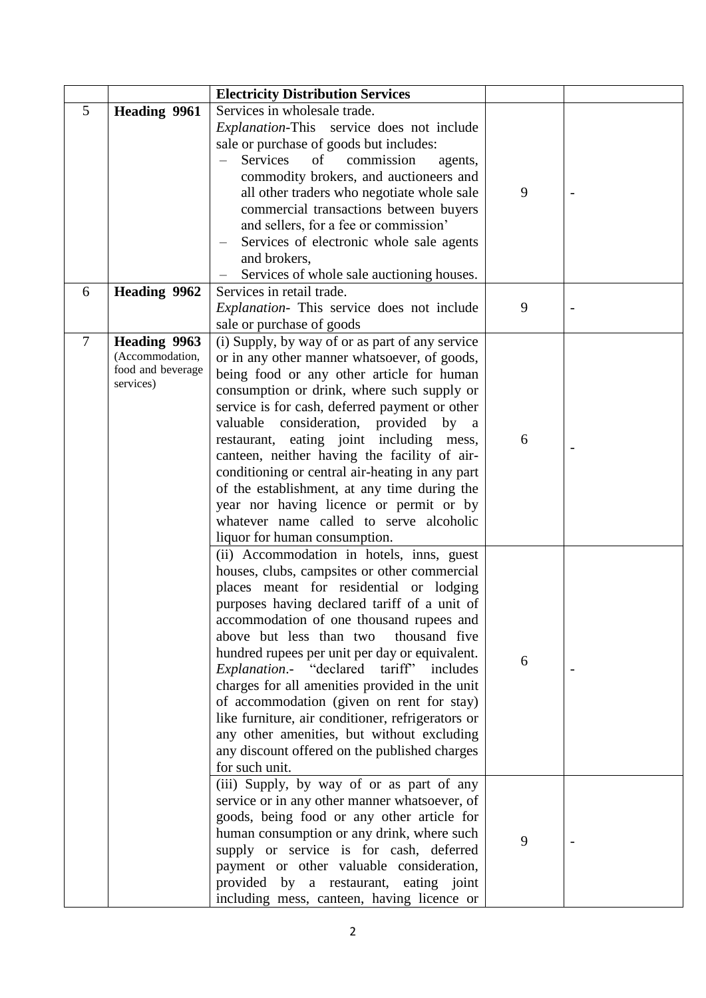| Services in wholesale trade.<br>5<br><b>Heading 9961</b><br>Explanation-This service does not include<br>sale or purchase of goods but includes:<br>Services<br>of<br>commission<br>agents,<br>commodity brokers, and auctioneers and<br>9<br>all other traders who negotiate whole sale<br>commercial transactions between buyers<br>and sellers, for a fee or commission'<br>Services of electronic whole sale agents<br>and brokers,<br>Services of whole sale auctioning houses.<br>Heading 9962<br>Services in retail trade.<br>6<br>Explanation- This service does not include<br>9<br>sale or purchase of goods<br><b>Heading 9963</b><br>$\tau$<br>(i) Supply, by way of or as part of any service<br>(Accommodation,<br>or in any other manner whatsoever, of goods,<br>food and beverage<br>being food or any other article for human<br>services)<br>consumption or drink, where such supply or<br>service is for cash, deferred payment or other<br>valuable consideration, provided by a<br>restaurant, eating joint including mess,<br>6<br>canteen, neither having the facility of air-<br>conditioning or central air-heating in any part<br>of the establishment, at any time during the<br>year nor having licence or permit or by<br>whatever name called to serve alcoholic<br>liquor for human consumption.<br>(ii) Accommodation in hotels, inns, guest<br>houses, clubs, campsites or other commercial<br>places meant for residential or lodging<br>purposes having declared tariff of a unit of<br>accommodation of one thousand rupees and<br>above but less than two<br>thousand five<br>hundred rupees per unit per day or equivalent.<br>6<br>Explanation.- "declared tariff" includes<br>charges for all amenities provided in the unit<br>of accommodation (given on rent for stay)<br>like furniture, air conditioner, refrigerators or<br>any other amenities, but without excluding<br>any discount offered on the published charges<br>for such unit.<br>(iii) Supply, by way of or as part of any<br>service or in any other manner whatsoever, of<br>goods, being food or any other article for<br>human consumption or any drink, where such<br>9<br>supply or service is for cash, deferred |  | <b>Electricity Distribution Services</b> |  |
|------------------------------------------------------------------------------------------------------------------------------------------------------------------------------------------------------------------------------------------------------------------------------------------------------------------------------------------------------------------------------------------------------------------------------------------------------------------------------------------------------------------------------------------------------------------------------------------------------------------------------------------------------------------------------------------------------------------------------------------------------------------------------------------------------------------------------------------------------------------------------------------------------------------------------------------------------------------------------------------------------------------------------------------------------------------------------------------------------------------------------------------------------------------------------------------------------------------------------------------------------------------------------------------------------------------------------------------------------------------------------------------------------------------------------------------------------------------------------------------------------------------------------------------------------------------------------------------------------------------------------------------------------------------------------------------------------------------------------------------------------------------------------------------------------------------------------------------------------------------------------------------------------------------------------------------------------------------------------------------------------------------------------------------------------------------------------------------------------------------------------------------------------------------------------------------------------------------------------------|--|------------------------------------------|--|
|                                                                                                                                                                                                                                                                                                                                                                                                                                                                                                                                                                                                                                                                                                                                                                                                                                                                                                                                                                                                                                                                                                                                                                                                                                                                                                                                                                                                                                                                                                                                                                                                                                                                                                                                                                                                                                                                                                                                                                                                                                                                                                                                                                                                                                    |  |                                          |  |
|                                                                                                                                                                                                                                                                                                                                                                                                                                                                                                                                                                                                                                                                                                                                                                                                                                                                                                                                                                                                                                                                                                                                                                                                                                                                                                                                                                                                                                                                                                                                                                                                                                                                                                                                                                                                                                                                                                                                                                                                                                                                                                                                                                                                                                    |  |                                          |  |
|                                                                                                                                                                                                                                                                                                                                                                                                                                                                                                                                                                                                                                                                                                                                                                                                                                                                                                                                                                                                                                                                                                                                                                                                                                                                                                                                                                                                                                                                                                                                                                                                                                                                                                                                                                                                                                                                                                                                                                                                                                                                                                                                                                                                                                    |  |                                          |  |
|                                                                                                                                                                                                                                                                                                                                                                                                                                                                                                                                                                                                                                                                                                                                                                                                                                                                                                                                                                                                                                                                                                                                                                                                                                                                                                                                                                                                                                                                                                                                                                                                                                                                                                                                                                                                                                                                                                                                                                                                                                                                                                                                                                                                                                    |  |                                          |  |
|                                                                                                                                                                                                                                                                                                                                                                                                                                                                                                                                                                                                                                                                                                                                                                                                                                                                                                                                                                                                                                                                                                                                                                                                                                                                                                                                                                                                                                                                                                                                                                                                                                                                                                                                                                                                                                                                                                                                                                                                                                                                                                                                                                                                                                    |  |                                          |  |
|                                                                                                                                                                                                                                                                                                                                                                                                                                                                                                                                                                                                                                                                                                                                                                                                                                                                                                                                                                                                                                                                                                                                                                                                                                                                                                                                                                                                                                                                                                                                                                                                                                                                                                                                                                                                                                                                                                                                                                                                                                                                                                                                                                                                                                    |  |                                          |  |
|                                                                                                                                                                                                                                                                                                                                                                                                                                                                                                                                                                                                                                                                                                                                                                                                                                                                                                                                                                                                                                                                                                                                                                                                                                                                                                                                                                                                                                                                                                                                                                                                                                                                                                                                                                                                                                                                                                                                                                                                                                                                                                                                                                                                                                    |  |                                          |  |
|                                                                                                                                                                                                                                                                                                                                                                                                                                                                                                                                                                                                                                                                                                                                                                                                                                                                                                                                                                                                                                                                                                                                                                                                                                                                                                                                                                                                                                                                                                                                                                                                                                                                                                                                                                                                                                                                                                                                                                                                                                                                                                                                                                                                                                    |  |                                          |  |
|                                                                                                                                                                                                                                                                                                                                                                                                                                                                                                                                                                                                                                                                                                                                                                                                                                                                                                                                                                                                                                                                                                                                                                                                                                                                                                                                                                                                                                                                                                                                                                                                                                                                                                                                                                                                                                                                                                                                                                                                                                                                                                                                                                                                                                    |  |                                          |  |
|                                                                                                                                                                                                                                                                                                                                                                                                                                                                                                                                                                                                                                                                                                                                                                                                                                                                                                                                                                                                                                                                                                                                                                                                                                                                                                                                                                                                                                                                                                                                                                                                                                                                                                                                                                                                                                                                                                                                                                                                                                                                                                                                                                                                                                    |  |                                          |  |
|                                                                                                                                                                                                                                                                                                                                                                                                                                                                                                                                                                                                                                                                                                                                                                                                                                                                                                                                                                                                                                                                                                                                                                                                                                                                                                                                                                                                                                                                                                                                                                                                                                                                                                                                                                                                                                                                                                                                                                                                                                                                                                                                                                                                                                    |  |                                          |  |
|                                                                                                                                                                                                                                                                                                                                                                                                                                                                                                                                                                                                                                                                                                                                                                                                                                                                                                                                                                                                                                                                                                                                                                                                                                                                                                                                                                                                                                                                                                                                                                                                                                                                                                                                                                                                                                                                                                                                                                                                                                                                                                                                                                                                                                    |  |                                          |  |
|                                                                                                                                                                                                                                                                                                                                                                                                                                                                                                                                                                                                                                                                                                                                                                                                                                                                                                                                                                                                                                                                                                                                                                                                                                                                                                                                                                                                                                                                                                                                                                                                                                                                                                                                                                                                                                                                                                                                                                                                                                                                                                                                                                                                                                    |  |                                          |  |
|                                                                                                                                                                                                                                                                                                                                                                                                                                                                                                                                                                                                                                                                                                                                                                                                                                                                                                                                                                                                                                                                                                                                                                                                                                                                                                                                                                                                                                                                                                                                                                                                                                                                                                                                                                                                                                                                                                                                                                                                                                                                                                                                                                                                                                    |  |                                          |  |
|                                                                                                                                                                                                                                                                                                                                                                                                                                                                                                                                                                                                                                                                                                                                                                                                                                                                                                                                                                                                                                                                                                                                                                                                                                                                                                                                                                                                                                                                                                                                                                                                                                                                                                                                                                                                                                                                                                                                                                                                                                                                                                                                                                                                                                    |  |                                          |  |
|                                                                                                                                                                                                                                                                                                                                                                                                                                                                                                                                                                                                                                                                                                                                                                                                                                                                                                                                                                                                                                                                                                                                                                                                                                                                                                                                                                                                                                                                                                                                                                                                                                                                                                                                                                                                                                                                                                                                                                                                                                                                                                                                                                                                                                    |  |                                          |  |
|                                                                                                                                                                                                                                                                                                                                                                                                                                                                                                                                                                                                                                                                                                                                                                                                                                                                                                                                                                                                                                                                                                                                                                                                                                                                                                                                                                                                                                                                                                                                                                                                                                                                                                                                                                                                                                                                                                                                                                                                                                                                                                                                                                                                                                    |  |                                          |  |
|                                                                                                                                                                                                                                                                                                                                                                                                                                                                                                                                                                                                                                                                                                                                                                                                                                                                                                                                                                                                                                                                                                                                                                                                                                                                                                                                                                                                                                                                                                                                                                                                                                                                                                                                                                                                                                                                                                                                                                                                                                                                                                                                                                                                                                    |  |                                          |  |
|                                                                                                                                                                                                                                                                                                                                                                                                                                                                                                                                                                                                                                                                                                                                                                                                                                                                                                                                                                                                                                                                                                                                                                                                                                                                                                                                                                                                                                                                                                                                                                                                                                                                                                                                                                                                                                                                                                                                                                                                                                                                                                                                                                                                                                    |  |                                          |  |
|                                                                                                                                                                                                                                                                                                                                                                                                                                                                                                                                                                                                                                                                                                                                                                                                                                                                                                                                                                                                                                                                                                                                                                                                                                                                                                                                                                                                                                                                                                                                                                                                                                                                                                                                                                                                                                                                                                                                                                                                                                                                                                                                                                                                                                    |  |                                          |  |
|                                                                                                                                                                                                                                                                                                                                                                                                                                                                                                                                                                                                                                                                                                                                                                                                                                                                                                                                                                                                                                                                                                                                                                                                                                                                                                                                                                                                                                                                                                                                                                                                                                                                                                                                                                                                                                                                                                                                                                                                                                                                                                                                                                                                                                    |  |                                          |  |
|                                                                                                                                                                                                                                                                                                                                                                                                                                                                                                                                                                                                                                                                                                                                                                                                                                                                                                                                                                                                                                                                                                                                                                                                                                                                                                                                                                                                                                                                                                                                                                                                                                                                                                                                                                                                                                                                                                                                                                                                                                                                                                                                                                                                                                    |  |                                          |  |
|                                                                                                                                                                                                                                                                                                                                                                                                                                                                                                                                                                                                                                                                                                                                                                                                                                                                                                                                                                                                                                                                                                                                                                                                                                                                                                                                                                                                                                                                                                                                                                                                                                                                                                                                                                                                                                                                                                                                                                                                                                                                                                                                                                                                                                    |  |                                          |  |
|                                                                                                                                                                                                                                                                                                                                                                                                                                                                                                                                                                                                                                                                                                                                                                                                                                                                                                                                                                                                                                                                                                                                                                                                                                                                                                                                                                                                                                                                                                                                                                                                                                                                                                                                                                                                                                                                                                                                                                                                                                                                                                                                                                                                                                    |  |                                          |  |
|                                                                                                                                                                                                                                                                                                                                                                                                                                                                                                                                                                                                                                                                                                                                                                                                                                                                                                                                                                                                                                                                                                                                                                                                                                                                                                                                                                                                                                                                                                                                                                                                                                                                                                                                                                                                                                                                                                                                                                                                                                                                                                                                                                                                                                    |  |                                          |  |
|                                                                                                                                                                                                                                                                                                                                                                                                                                                                                                                                                                                                                                                                                                                                                                                                                                                                                                                                                                                                                                                                                                                                                                                                                                                                                                                                                                                                                                                                                                                                                                                                                                                                                                                                                                                                                                                                                                                                                                                                                                                                                                                                                                                                                                    |  |                                          |  |
|                                                                                                                                                                                                                                                                                                                                                                                                                                                                                                                                                                                                                                                                                                                                                                                                                                                                                                                                                                                                                                                                                                                                                                                                                                                                                                                                                                                                                                                                                                                                                                                                                                                                                                                                                                                                                                                                                                                                                                                                                                                                                                                                                                                                                                    |  |                                          |  |
|                                                                                                                                                                                                                                                                                                                                                                                                                                                                                                                                                                                                                                                                                                                                                                                                                                                                                                                                                                                                                                                                                                                                                                                                                                                                                                                                                                                                                                                                                                                                                                                                                                                                                                                                                                                                                                                                                                                                                                                                                                                                                                                                                                                                                                    |  |                                          |  |
|                                                                                                                                                                                                                                                                                                                                                                                                                                                                                                                                                                                                                                                                                                                                                                                                                                                                                                                                                                                                                                                                                                                                                                                                                                                                                                                                                                                                                                                                                                                                                                                                                                                                                                                                                                                                                                                                                                                                                                                                                                                                                                                                                                                                                                    |  |                                          |  |
|                                                                                                                                                                                                                                                                                                                                                                                                                                                                                                                                                                                                                                                                                                                                                                                                                                                                                                                                                                                                                                                                                                                                                                                                                                                                                                                                                                                                                                                                                                                                                                                                                                                                                                                                                                                                                                                                                                                                                                                                                                                                                                                                                                                                                                    |  |                                          |  |
|                                                                                                                                                                                                                                                                                                                                                                                                                                                                                                                                                                                                                                                                                                                                                                                                                                                                                                                                                                                                                                                                                                                                                                                                                                                                                                                                                                                                                                                                                                                                                                                                                                                                                                                                                                                                                                                                                                                                                                                                                                                                                                                                                                                                                                    |  |                                          |  |
|                                                                                                                                                                                                                                                                                                                                                                                                                                                                                                                                                                                                                                                                                                                                                                                                                                                                                                                                                                                                                                                                                                                                                                                                                                                                                                                                                                                                                                                                                                                                                                                                                                                                                                                                                                                                                                                                                                                                                                                                                                                                                                                                                                                                                                    |  |                                          |  |
|                                                                                                                                                                                                                                                                                                                                                                                                                                                                                                                                                                                                                                                                                                                                                                                                                                                                                                                                                                                                                                                                                                                                                                                                                                                                                                                                                                                                                                                                                                                                                                                                                                                                                                                                                                                                                                                                                                                                                                                                                                                                                                                                                                                                                                    |  |                                          |  |
|                                                                                                                                                                                                                                                                                                                                                                                                                                                                                                                                                                                                                                                                                                                                                                                                                                                                                                                                                                                                                                                                                                                                                                                                                                                                                                                                                                                                                                                                                                                                                                                                                                                                                                                                                                                                                                                                                                                                                                                                                                                                                                                                                                                                                                    |  |                                          |  |
|                                                                                                                                                                                                                                                                                                                                                                                                                                                                                                                                                                                                                                                                                                                                                                                                                                                                                                                                                                                                                                                                                                                                                                                                                                                                                                                                                                                                                                                                                                                                                                                                                                                                                                                                                                                                                                                                                                                                                                                                                                                                                                                                                                                                                                    |  |                                          |  |
|                                                                                                                                                                                                                                                                                                                                                                                                                                                                                                                                                                                                                                                                                                                                                                                                                                                                                                                                                                                                                                                                                                                                                                                                                                                                                                                                                                                                                                                                                                                                                                                                                                                                                                                                                                                                                                                                                                                                                                                                                                                                                                                                                                                                                                    |  |                                          |  |
|                                                                                                                                                                                                                                                                                                                                                                                                                                                                                                                                                                                                                                                                                                                                                                                                                                                                                                                                                                                                                                                                                                                                                                                                                                                                                                                                                                                                                                                                                                                                                                                                                                                                                                                                                                                                                                                                                                                                                                                                                                                                                                                                                                                                                                    |  |                                          |  |
|                                                                                                                                                                                                                                                                                                                                                                                                                                                                                                                                                                                                                                                                                                                                                                                                                                                                                                                                                                                                                                                                                                                                                                                                                                                                                                                                                                                                                                                                                                                                                                                                                                                                                                                                                                                                                                                                                                                                                                                                                                                                                                                                                                                                                                    |  |                                          |  |
|                                                                                                                                                                                                                                                                                                                                                                                                                                                                                                                                                                                                                                                                                                                                                                                                                                                                                                                                                                                                                                                                                                                                                                                                                                                                                                                                                                                                                                                                                                                                                                                                                                                                                                                                                                                                                                                                                                                                                                                                                                                                                                                                                                                                                                    |  |                                          |  |
|                                                                                                                                                                                                                                                                                                                                                                                                                                                                                                                                                                                                                                                                                                                                                                                                                                                                                                                                                                                                                                                                                                                                                                                                                                                                                                                                                                                                                                                                                                                                                                                                                                                                                                                                                                                                                                                                                                                                                                                                                                                                                                                                                                                                                                    |  |                                          |  |
|                                                                                                                                                                                                                                                                                                                                                                                                                                                                                                                                                                                                                                                                                                                                                                                                                                                                                                                                                                                                                                                                                                                                                                                                                                                                                                                                                                                                                                                                                                                                                                                                                                                                                                                                                                                                                                                                                                                                                                                                                                                                                                                                                                                                                                    |  |                                          |  |
|                                                                                                                                                                                                                                                                                                                                                                                                                                                                                                                                                                                                                                                                                                                                                                                                                                                                                                                                                                                                                                                                                                                                                                                                                                                                                                                                                                                                                                                                                                                                                                                                                                                                                                                                                                                                                                                                                                                                                                                                                                                                                                                                                                                                                                    |  |                                          |  |
|                                                                                                                                                                                                                                                                                                                                                                                                                                                                                                                                                                                                                                                                                                                                                                                                                                                                                                                                                                                                                                                                                                                                                                                                                                                                                                                                                                                                                                                                                                                                                                                                                                                                                                                                                                                                                                                                                                                                                                                                                                                                                                                                                                                                                                    |  |                                          |  |
|                                                                                                                                                                                                                                                                                                                                                                                                                                                                                                                                                                                                                                                                                                                                                                                                                                                                                                                                                                                                                                                                                                                                                                                                                                                                                                                                                                                                                                                                                                                                                                                                                                                                                                                                                                                                                                                                                                                                                                                                                                                                                                                                                                                                                                    |  |                                          |  |
|                                                                                                                                                                                                                                                                                                                                                                                                                                                                                                                                                                                                                                                                                                                                                                                                                                                                                                                                                                                                                                                                                                                                                                                                                                                                                                                                                                                                                                                                                                                                                                                                                                                                                                                                                                                                                                                                                                                                                                                                                                                                                                                                                                                                                                    |  |                                          |  |
| payment or other valuable consideration,                                                                                                                                                                                                                                                                                                                                                                                                                                                                                                                                                                                                                                                                                                                                                                                                                                                                                                                                                                                                                                                                                                                                                                                                                                                                                                                                                                                                                                                                                                                                                                                                                                                                                                                                                                                                                                                                                                                                                                                                                                                                                                                                                                                           |  |                                          |  |
| provided by a restaurant, eating joint                                                                                                                                                                                                                                                                                                                                                                                                                                                                                                                                                                                                                                                                                                                                                                                                                                                                                                                                                                                                                                                                                                                                                                                                                                                                                                                                                                                                                                                                                                                                                                                                                                                                                                                                                                                                                                                                                                                                                                                                                                                                                                                                                                                             |  |                                          |  |
| including mess, canteen, having licence or                                                                                                                                                                                                                                                                                                                                                                                                                                                                                                                                                                                                                                                                                                                                                                                                                                                                                                                                                                                                                                                                                                                                                                                                                                                                                                                                                                                                                                                                                                                                                                                                                                                                                                                                                                                                                                                                                                                                                                                                                                                                                                                                                                                         |  |                                          |  |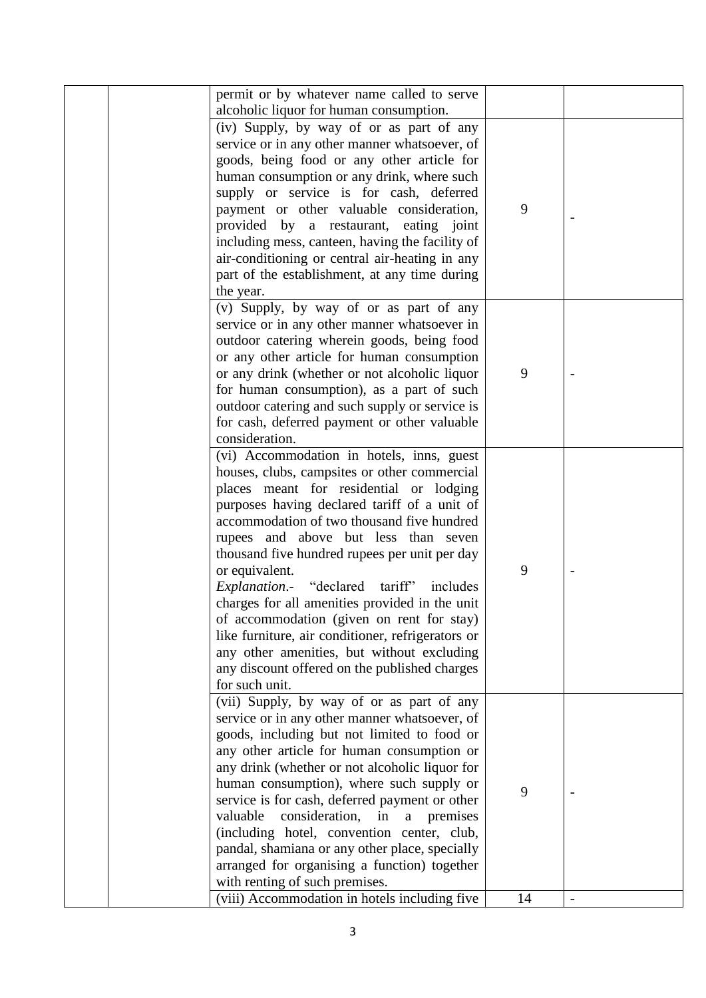|  | permit or by whatever name called to serve<br>alcoholic liquor for human consumption. |    |                |
|--|---------------------------------------------------------------------------------------|----|----------------|
|  | (iv) Supply, by way of or as part of any                                              |    |                |
|  | service or in any other manner whatsoever, of                                         |    |                |
|  |                                                                                       |    |                |
|  | goods, being food or any other article for                                            |    |                |
|  | human consumption or any drink, where such                                            |    |                |
|  | supply or service is for cash, deferred                                               |    |                |
|  | payment or other valuable consideration,                                              | 9  |                |
|  | provided by a restaurant, eating joint                                                |    |                |
|  | including mess, canteen, having the facility of                                       |    |                |
|  | air-conditioning or central air-heating in any                                        |    |                |
|  | part of the establishment, at any time during                                         |    |                |
|  | the year.                                                                             |    |                |
|  | (v) Supply, by way of or as part of any                                               |    |                |
|  | service or in any other manner whatsoever in                                          |    |                |
|  | outdoor catering wherein goods, being food                                            |    |                |
|  | or any other article for human consumption                                            |    |                |
|  | or any drink (whether or not alcoholic liquor                                         | 9  |                |
|  | for human consumption), as a part of such                                             |    |                |
|  | outdoor catering and such supply or service is                                        |    |                |
|  | for cash, deferred payment or other valuable                                          |    |                |
|  | consideration.                                                                        |    |                |
|  | (vi) Accommodation in hotels, inns, guest                                             |    |                |
|  | houses, clubs, campsites or other commercial                                          |    |                |
|  | places meant for residential or lodging                                               |    |                |
|  | purposes having declared tariff of a unit of                                          |    |                |
|  | accommodation of two thousand five hundred                                            |    |                |
|  | rupees and above but less than seven                                                  |    |                |
|  | thousand five hundred rupees per unit per day                                         |    |                |
|  | or equivalent.                                                                        | 9  |                |
|  | Explanation.- "declared tariff" includes                                              |    |                |
|  | charges for all amenities provided in the unit                                        |    |                |
|  |                                                                                       |    |                |
|  | of accommodation (given on rent for stay)                                             |    |                |
|  | like furniture, air conditioner, refrigerators or                                     |    |                |
|  | any other amenities, but without excluding                                            |    |                |
|  | any discount offered on the published charges                                         |    |                |
|  | for such unit.                                                                        |    |                |
|  | (vii) Supply, by way of or as part of any                                             |    |                |
|  | service or in any other manner whatsoever, of                                         |    |                |
|  | goods, including but not limited to food or                                           |    |                |
|  | any other article for human consumption or                                            |    |                |
|  | any drink (whether or not alcoholic liquor for                                        |    |                |
|  | human consumption), where such supply or                                              | 9  |                |
|  | service is for cash, deferred payment or other                                        |    |                |
|  | valuable<br>consideration,<br>in<br>$\mathbf a$<br>premises                           |    |                |
|  | (including hotel, convention center, club,                                            |    |                |
|  | pandal, shamiana or any other place, specially                                        |    |                |
|  | arranged for organising a function) together                                          |    |                |
|  | with renting of such premises.                                                        |    |                |
|  | (viii) Accommodation in hotels including five                                         | 14 | $\blacksquare$ |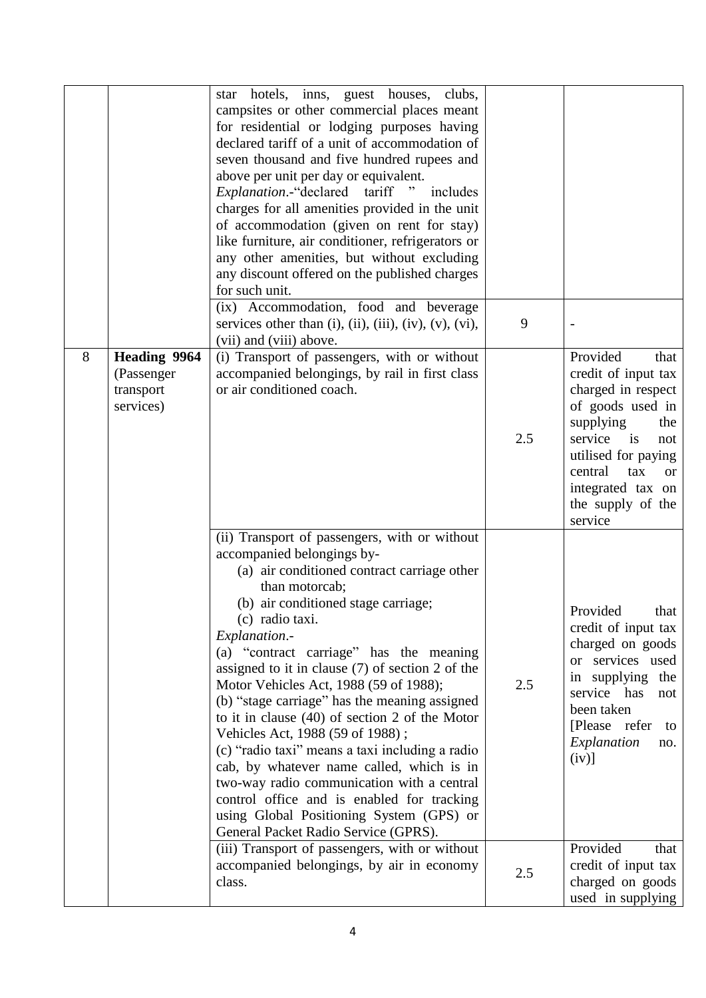|   |                                                             | hotels, inns, guest houses,<br>clubs,<br>star<br>campsites or other commercial places meant<br>for residential or lodging purposes having<br>declared tariff of a unit of accommodation of<br>seven thousand and five hundred rupees and<br>above per unit per day or equivalent.<br><i>Explanation.</i> -"declared tariff "<br>includes<br>charges for all amenities provided in the unit<br>of accommodation (given on rent for stay)<br>like furniture, air conditioner, refrigerators or<br>any other amenities, but without excluding<br>any discount offered on the published charges<br>for such unit.                                                                                                                                                                               |     |                                                                                                                                                                                                                                              |
|---|-------------------------------------------------------------|---------------------------------------------------------------------------------------------------------------------------------------------------------------------------------------------------------------------------------------------------------------------------------------------------------------------------------------------------------------------------------------------------------------------------------------------------------------------------------------------------------------------------------------------------------------------------------------------------------------------------------------------------------------------------------------------------------------------------------------------------------------------------------------------|-----|----------------------------------------------------------------------------------------------------------------------------------------------------------------------------------------------------------------------------------------------|
|   |                                                             | (ix) Accommodation, food and beverage<br>services other than $(i)$ , $(ii)$ , $(iii)$ , $(iv)$ , $(v)$ , $(vi)$ ,<br>(vii) and (viii) above.                                                                                                                                                                                                                                                                                                                                                                                                                                                                                                                                                                                                                                                | 9   |                                                                                                                                                                                                                                              |
| 8 | <b>Heading 9964</b><br>(Passenger<br>transport<br>services) | (i) Transport of passengers, with or without<br>accompanied belongings, by rail in first class<br>or air conditioned coach.                                                                                                                                                                                                                                                                                                                                                                                                                                                                                                                                                                                                                                                                 | 2.5 | Provided<br>that<br>credit of input tax<br>charged in respect<br>of goods used in<br>supplying<br>the<br>service<br>is<br>not<br>utilised for paying<br>central<br>tax<br><sub>or</sub><br>integrated tax on<br>the supply of the<br>service |
|   |                                                             | (ii) Transport of passengers, with or without<br>accompanied belongings by-<br>(a) air conditioned contract carriage other<br>than motorcab;<br>(b) air conditioned stage carriage;<br>(c) radio taxi.<br>Explanation.-<br>(a) "contract carriage" has the meaning<br>assigned to it in clause $(7)$ of section 2 of the<br>Motor Vehicles Act, 1988 (59 of 1988);<br>(b) "stage carriage" has the meaning assigned<br>to it in clause $(40)$ of section 2 of the Motor<br>Vehicles Act, 1988 (59 of 1988);<br>(c) "radio taxi" means a taxi including a radio<br>cab, by whatever name called, which is in<br>two-way radio communication with a central<br>control office and is enabled for tracking<br>using Global Positioning System (GPS) or<br>General Packet Radio Service (GPRS). | 2.5 | Provided<br>that<br>credit of input tax<br>charged on goods<br>or services used<br>in supplying the<br>service has<br>not<br>been taken<br>[Please refer<br>to<br>Explanation<br>no.<br>$(iv)$ ]                                             |
|   |                                                             | (iii) Transport of passengers, with or without<br>accompanied belongings, by air in economy<br>class.                                                                                                                                                                                                                                                                                                                                                                                                                                                                                                                                                                                                                                                                                       | 2.5 | Provided<br>that<br>credit of input tax<br>charged on goods<br>used in supplying                                                                                                                                                             |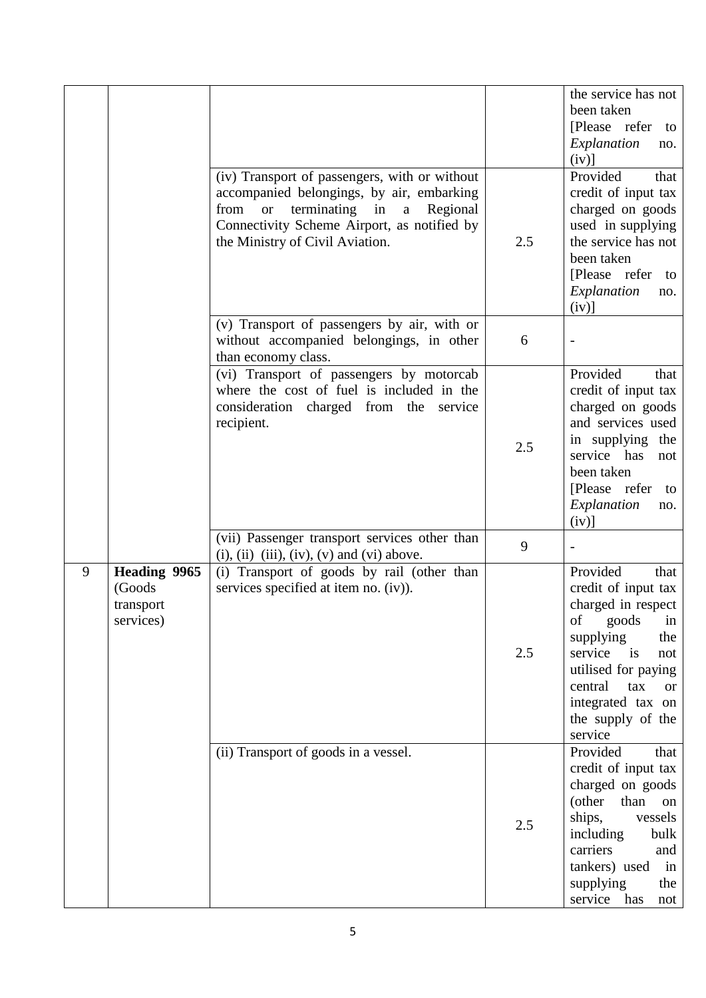|   |                                                         | (iv) Transport of passengers, with or without<br>accompanied belongings, by air, embarking<br>terminating in<br>from<br>Regional<br><b>or</b><br>$\rm{a}$<br>Connectivity Scheme Airport, as notified by<br>the Ministry of Civil Aviation. | 2.5 | the service has not<br>been taken<br>[Please refer<br>to<br>Explanation<br>no.<br>$(iv)$ ]<br>Provided<br>that<br>credit of input tax<br>charged on goods<br>used in supplying<br>the service has not<br>been taken<br>[Please refer]<br>to<br>Explanation<br>no.<br>$(iv)$ ] |
|---|---------------------------------------------------------|---------------------------------------------------------------------------------------------------------------------------------------------------------------------------------------------------------------------------------------------|-----|-------------------------------------------------------------------------------------------------------------------------------------------------------------------------------------------------------------------------------------------------------------------------------|
|   |                                                         | (v) Transport of passengers by air, with or<br>without accompanied belongings, in other<br>than economy class.                                                                                                                              | 6   |                                                                                                                                                                                                                                                                               |
|   |                                                         | (vi) Transport of passengers by motorcab<br>where the cost of fuel is included in the<br>consideration charged from the service<br>recipient.                                                                                               | 2.5 | Provided<br>that<br>credit of input tax<br>charged on goods<br>and services used<br>in supplying<br>the<br>service has<br>not<br>been taken<br>[Please refer<br>to<br>Explanation<br>no.<br>$(iv)$ ]                                                                          |
|   |                                                         | (vii) Passenger transport services other than<br>$(i)$ , $(ii)$ $(iii)$ , $(iv)$ , $(v)$ and $(vi)$ above.                                                                                                                                  | 9   |                                                                                                                                                                                                                                                                               |
| 9 | <b>Heading 9965</b><br>(Goods<br>transport<br>services) | (i) Transport of goods by rail (other than<br>services specified at item no. (iv)).                                                                                                                                                         | 2.5 | Provided<br>that<br>credit of input tax<br>charged in respect<br>goods<br>of<br>in<br>supplying<br>the<br>service<br>$\frac{1}{1}$<br>not<br>utilised for paying<br>central<br>tax<br><sub>or</sub><br>integrated tax on<br>the supply of the<br>service                      |
|   |                                                         | (ii) Transport of goods in a vessel.                                                                                                                                                                                                        | 2.5 | Provided<br>that<br>credit of input tax<br>charged on goods<br>(other<br>than<br>on<br>ships,<br>vessels<br>including<br>bulk<br>carriers<br>and<br>tankers) used<br>in<br>supplying<br>the<br>service has<br>not                                                             |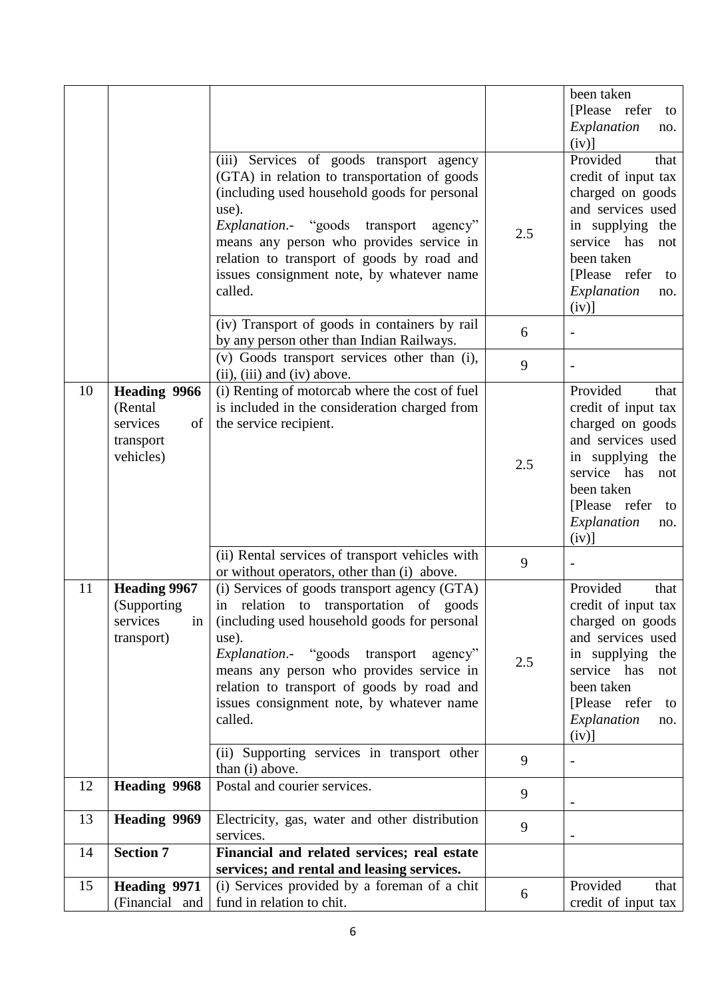|    |                     |                                                                                                |     | been taken          |
|----|---------------------|------------------------------------------------------------------------------------------------|-----|---------------------|
|    |                     |                                                                                                |     | [Please refer<br>to |
|    |                     |                                                                                                |     | Explanation<br>no.  |
|    |                     |                                                                                                |     | $(iv)$ ]            |
|    |                     | (iii) Services of goods transport agency                                                       |     | Provided<br>that    |
|    |                     | (GTA) in relation to transportation of goods                                                   |     | credit of input tax |
|    |                     | (including used household goods for personal                                                   |     | charged on goods    |
|    |                     | use).                                                                                          |     | and services used   |
|    |                     | <i>Explanation.</i> "goods"<br>transport<br>agency"                                            | 2.5 | in supplying<br>the |
|    |                     | means any person who provides service in                                                       |     | service has<br>not  |
|    |                     | relation to transport of goods by road and                                                     |     | been taken          |
|    |                     | issues consignment note, by whatever name                                                      |     | [Please refer<br>to |
|    |                     | called.                                                                                        |     | Explanation<br>no.  |
|    |                     |                                                                                                |     | $(iv)$ ]            |
|    |                     | (iv) Transport of goods in containers by rail                                                  | 6   |                     |
|    |                     | by any person other than Indian Railways.<br>(v) Goods transport services other than (i),      |     |                     |
|    |                     | $(ii)$ , $(iii)$ and $(iv)$ above.                                                             | 9   |                     |
| 10 | <b>Heading 9966</b> | (i) Renting of motorcab where the cost of fuel                                                 |     | Provided<br>that    |
|    | (Rental             | is included in the consideration charged from                                                  |     | credit of input tax |
|    | services<br>of      | the service recipient.                                                                         |     | charged on goods    |
|    | transport           |                                                                                                |     | and services used   |
|    | vehicles)           |                                                                                                | 2.5 | in supplying the    |
|    |                     |                                                                                                |     | service has<br>not  |
|    |                     |                                                                                                |     | been taken          |
|    |                     |                                                                                                |     | [Please refer<br>to |
|    |                     |                                                                                                |     | Explanation<br>no.  |
|    |                     |                                                                                                |     | $(iv)$ ]            |
|    |                     | (ii) Rental services of transport vehicles with<br>or without operators, other than (i) above. | 9   |                     |
| 11 | <b>Heading 9967</b> | (i) Services of goods transport agency (GTA)                                                   |     | Provided<br>that    |
|    | (Supporting)        | in relation to transportation of goods                                                         |     | credit of input tax |
|    | services<br>in      | (including used household goods for personal                                                   |     | charged on goods    |
|    | transport)          | use).                                                                                          |     | and services used   |
|    |                     | Explanation.- "goods transport<br>agency"                                                      | 2.5 | in supplying<br>the |
|    |                     | means any person who provides service in                                                       |     | service has<br>not  |
|    |                     | relation to transport of goods by road and                                                     |     | been taken          |
|    |                     | issues consignment note, by whatever name                                                      |     | [Please refer<br>to |
|    |                     | called.                                                                                        |     | Explanation<br>no.  |
|    |                     |                                                                                                |     | $(iv)$ ]            |
|    |                     | (ii) Supporting services in transport other<br>than (i) above.                                 | 9   |                     |
| 12 | <b>Heading 9968</b> | Postal and courier services.                                                                   |     |                     |
|    |                     |                                                                                                | 9   |                     |
| 13 | <b>Heading 9969</b> | Electricity, gas, water and other distribution                                                 | 9   |                     |
|    |                     | services.                                                                                      |     |                     |
| 14 | <b>Section 7</b>    | Financial and related services; real estate                                                    |     |                     |
|    |                     | services; and rental and leasing services.                                                     |     |                     |
| 15 | Heading 9971        | (i) Services provided by a foreman of a chit                                                   | 6   | Provided<br>that    |
|    | (Financial and      | fund in relation to chit.                                                                      |     | credit of input tax |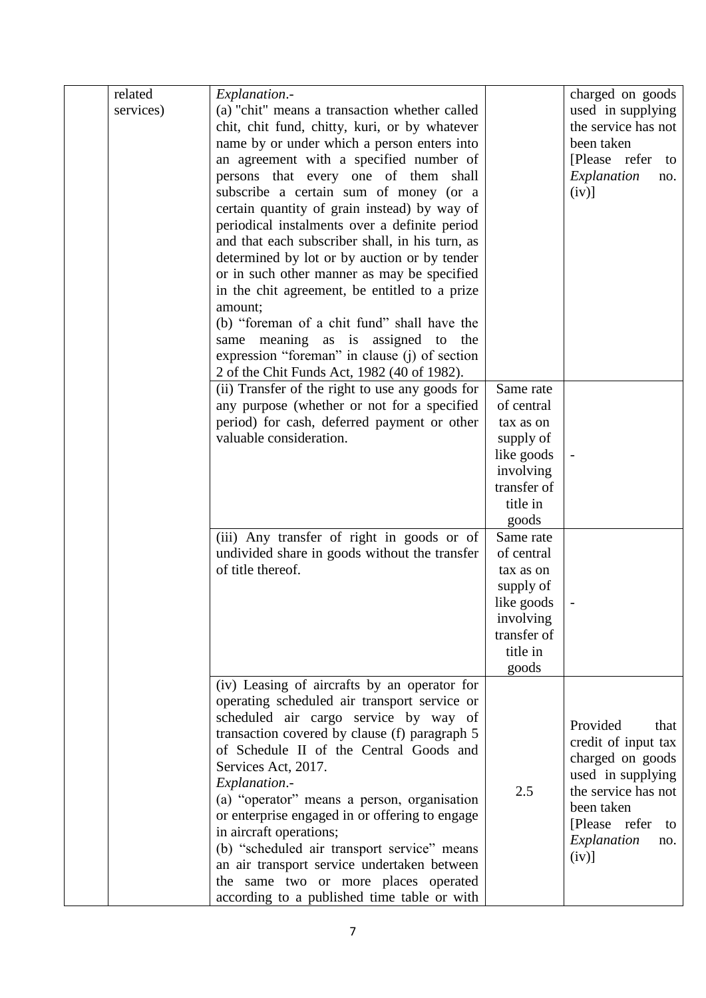| related   | Explanation.-                                   |                    | charged on goods    |
|-----------|-------------------------------------------------|--------------------|---------------------|
| services) | (a) "chit" means a transaction whether called   |                    | used in supplying   |
|           | chit, chit fund, chitty, kuri, or by whatever   |                    | the service has not |
|           | name by or under which a person enters into     |                    | been taken          |
|           | an agreement with a specified number of         |                    | [Please refer to    |
|           | persons that every one of them shall            |                    | Explanation<br>no.  |
|           | subscribe a certain sum of money (or a          |                    | $(iv)$ ]            |
|           | certain quantity of grain instead) by way of    |                    |                     |
|           | periodical instalments over a definite period   |                    |                     |
|           | and that each subscriber shall, in his turn, as |                    |                     |
|           | determined by lot or by auction or by tender    |                    |                     |
|           | or in such other manner as may be specified     |                    |                     |
|           | in the chit agreement, be entitled to a prize   |                    |                     |
|           | amount;                                         |                    |                     |
|           | (b) "foreman of a chit fund" shall have the     |                    |                     |
|           | same meaning as is assigned to the              |                    |                     |
|           | expression "foreman" in clause (j) of section   |                    |                     |
|           | 2 of the Chit Funds Act, 1982 (40 of 1982).     |                    |                     |
|           | (ii) Transfer of the right to use any goods for | Same rate          |                     |
|           | any purpose (whether or not for a specified     | of central         |                     |
|           | period) for cash, deferred payment or other     | tax as on          |                     |
|           | valuable consideration.                         | supply of          |                     |
|           |                                                 | like goods         |                     |
|           |                                                 | involving          |                     |
|           |                                                 | transfer of        |                     |
|           |                                                 | title in           |                     |
|           |                                                 |                    |                     |
|           | (iii) Any transfer of right in goods or of      | goods<br>Same rate |                     |
|           | undivided share in goods without the transfer   | of central         |                     |
|           | of title thereof.                               | tax as on          |                     |
|           |                                                 | supply of          |                     |
|           |                                                 | like goods         |                     |
|           |                                                 | involving          |                     |
|           |                                                 | transfer of        |                     |
|           |                                                 | title in           |                     |
|           |                                                 | goods              |                     |
|           | (iv) Leasing of aircrafts by an operator for    |                    |                     |
|           | operating scheduled air transport service or    |                    |                     |
|           | scheduled air cargo service by way of           |                    |                     |
|           | transaction covered by clause (f) paragraph 5   |                    | Provided<br>that    |
|           | of Schedule II of the Central Goods and         |                    | credit of input tax |
|           | Services Act, 2017.                             |                    | charged on goods    |
|           | Explanation.-                                   |                    | used in supplying   |
|           | (a) "operator" means a person, organisation     | 2.5                | the service has not |
|           | or enterprise engaged in or offering to engage  |                    | been taken          |
|           | in aircraft operations;                         |                    | [Please refer<br>to |
|           | (b) "scheduled air transport service" means     |                    | Explanation<br>no.  |
|           | an air transport service undertaken between     |                    | $(iv)$ ]            |
|           | the same two or more places operated            |                    |                     |
|           | according to a published time table or with     |                    |                     |
|           |                                                 |                    |                     |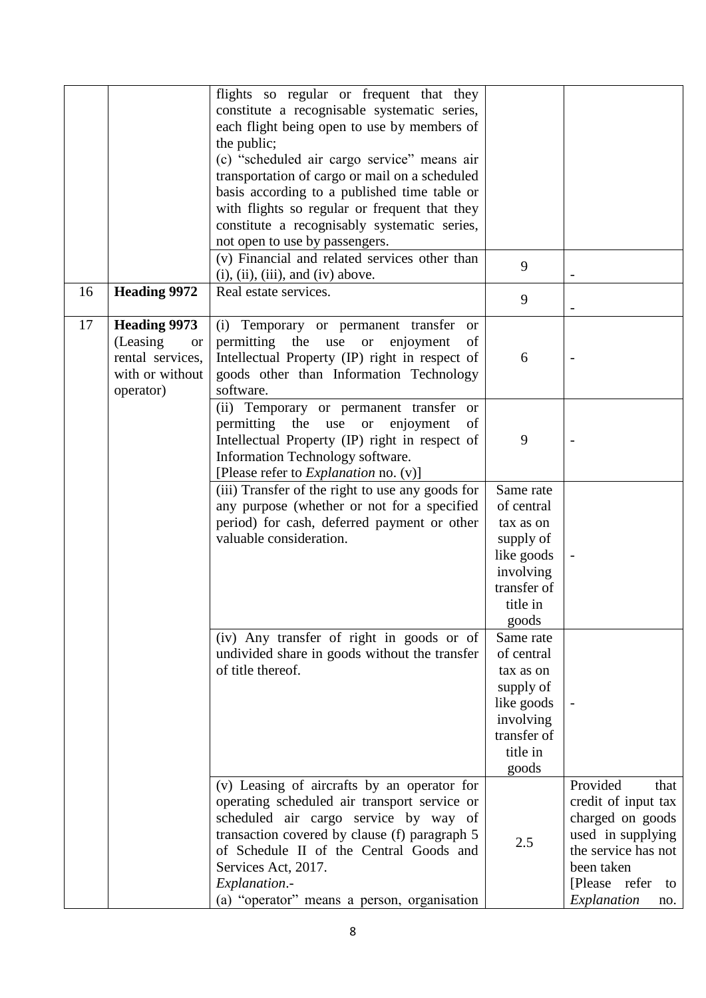|    |                                                                                                   | flights so regular or frequent that they<br>constitute a recognisable systematic series,<br>each flight being open to use by members of<br>the public;<br>(c) "scheduled air cargo service" means air<br>transportation of cargo or mail on a scheduled<br>basis according to a published time table or<br>with flights so regular or frequent that they<br>constitute a recognisably systematic series,<br>not open to use by passengers.<br>(v) Financial and related services other than<br>$(i)$ , $(ii)$ , $(iii)$ , and $(iv)$ above. | 9                                                                                                                |                                                                                                                                                                    |
|----|---------------------------------------------------------------------------------------------------|---------------------------------------------------------------------------------------------------------------------------------------------------------------------------------------------------------------------------------------------------------------------------------------------------------------------------------------------------------------------------------------------------------------------------------------------------------------------------------------------------------------------------------------------|------------------------------------------------------------------------------------------------------------------|--------------------------------------------------------------------------------------------------------------------------------------------------------------------|
| 16 | <b>Heading 9972</b>                                                                               | Real estate services.                                                                                                                                                                                                                                                                                                                                                                                                                                                                                                                       | 9                                                                                                                |                                                                                                                                                                    |
| 17 | <b>Heading 9973</b><br>(Leasing)<br><b>or</b><br>rental services,<br>with or without<br>operator) | (i) Temporary or permanent transfer<br><b>or</b><br>permitting the use<br>enjoyment<br>of<br><b>or</b><br>Intellectual Property (IP) right in respect of<br>goods other than Information Technology<br>software.                                                                                                                                                                                                                                                                                                                            | 6                                                                                                                |                                                                                                                                                                    |
|    |                                                                                                   | (ii) Temporary or permanent transfer or<br>permitting the use<br>or enjoyment<br>of<br>Intellectual Property (IP) right in respect of<br>Information Technology software.<br>[Please refer to <i>Explanation</i> no. (v)]                                                                                                                                                                                                                                                                                                                   | 9                                                                                                                |                                                                                                                                                                    |
|    |                                                                                                   | (iii) Transfer of the right to use any goods for<br>any purpose (whether or not for a specified<br>period) for cash, deferred payment or other<br>valuable consideration.                                                                                                                                                                                                                                                                                                                                                                   | Same rate<br>of central<br>tax as on<br>supply of<br>like goods<br>involving<br>transfer of<br>title in<br>goods |                                                                                                                                                                    |
|    |                                                                                                   | (iv) Any transfer of right in goods or of<br>undivided share in goods without the transfer<br>of title thereof.                                                                                                                                                                                                                                                                                                                                                                                                                             | Same rate<br>of central<br>tax as on<br>supply of<br>like goods<br>involving<br>transfer of<br>title in<br>goods |                                                                                                                                                                    |
|    |                                                                                                   | (v) Leasing of aircrafts by an operator for<br>operating scheduled air transport service or<br>scheduled air cargo service by way of<br>transaction covered by clause (f) paragraph 5<br>of Schedule II of the Central Goods and<br>Services Act, 2017.<br>Explanation.-<br>(a) "operator" means a person, organisation                                                                                                                                                                                                                     | 2.5                                                                                                              | Provided<br>that<br>credit of input tax<br>charged on goods<br>used in supplying<br>the service has not<br>been taken<br>[Please refer<br>to<br>Explanation<br>no. |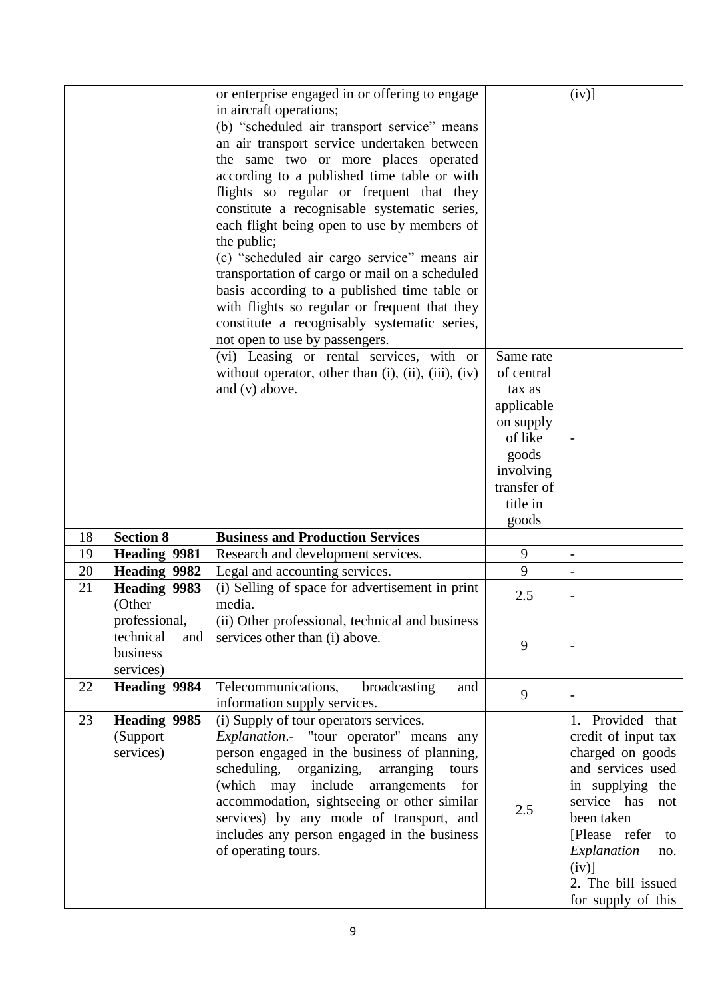|    |                                                            | or enterprise engaged in or offering to engage<br>in aircraft operations;<br>(b) "scheduled air transport service" means<br>an air transport service undertaken between<br>the same two or more places operated<br>according to a published time table or with<br>flights so regular or frequent that they<br>constitute a recognisable systematic series,<br>each flight being open to use by members of<br>the public;<br>(c) "scheduled air cargo service" means air<br>transportation of cargo or mail on a scheduled<br>basis according to a published time table or<br>with flights so regular or frequent that they<br>constitute a recognisably systematic series,<br>not open to use by passengers. |                                                                                                                                   | $(iv)$ ]                                                                                                                                                                                                                                    |
|----|------------------------------------------------------------|--------------------------------------------------------------------------------------------------------------------------------------------------------------------------------------------------------------------------------------------------------------------------------------------------------------------------------------------------------------------------------------------------------------------------------------------------------------------------------------------------------------------------------------------------------------------------------------------------------------------------------------------------------------------------------------------------------------|-----------------------------------------------------------------------------------------------------------------------------------|---------------------------------------------------------------------------------------------------------------------------------------------------------------------------------------------------------------------------------------------|
|    |                                                            | (vi) Leasing or rental services, with or<br>without operator, other than $(i)$ , $(ii)$ , $(iii)$ , $(iv)$<br>and (v) above.                                                                                                                                                                                                                                                                                                                                                                                                                                                                                                                                                                                 | Same rate<br>of central<br>tax as<br>applicable<br>on supply<br>of like<br>goods<br>involving<br>transfer of<br>title in<br>goods |                                                                                                                                                                                                                                             |
| 18 | <b>Section 8</b>                                           | <b>Business and Production Services</b>                                                                                                                                                                                                                                                                                                                                                                                                                                                                                                                                                                                                                                                                      |                                                                                                                                   |                                                                                                                                                                                                                                             |
| 19 | <b>Heading 9981</b>                                        | Research and development services.                                                                                                                                                                                                                                                                                                                                                                                                                                                                                                                                                                                                                                                                           | 9                                                                                                                                 | $\frac{1}{2}$                                                                                                                                                                                                                               |
| 20 | <b>Heading 9982</b>                                        | Legal and accounting services.                                                                                                                                                                                                                                                                                                                                                                                                                                                                                                                                                                                                                                                                               | 9                                                                                                                                 | $\overline{\phantom{0}}$                                                                                                                                                                                                                    |
| 21 | <b>Heading 9983</b><br>(Other                              | (i) Selling of space for advertisement in print<br>media.                                                                                                                                                                                                                                                                                                                                                                                                                                                                                                                                                                                                                                                    | 2.5                                                                                                                               |                                                                                                                                                                                                                                             |
|    | professional,<br>technical<br>and<br>business<br>services) | (ii) Other professional, technical and business<br>services other than (i) above.                                                                                                                                                                                                                                                                                                                                                                                                                                                                                                                                                                                                                            | 9                                                                                                                                 |                                                                                                                                                                                                                                             |
| 22 | <b>Heading 9984</b>                                        | Telecommunications,<br>broadcasting<br>and<br>information supply services.                                                                                                                                                                                                                                                                                                                                                                                                                                                                                                                                                                                                                                   | 9                                                                                                                                 |                                                                                                                                                                                                                                             |
| 23 | <b>Heading 9985</b><br>(Support<br>services)               | (i) Supply of tour operators services.<br><i>Explanation.</i> - "tour operator" means any<br>person engaged in the business of planning,<br>scheduling, organizing,<br>arranging<br>tours<br>(which may include arrangements)<br>for<br>accommodation, sightseeing or other similar<br>services) by any mode of transport, and<br>includes any person engaged in the business<br>of operating tours.                                                                                                                                                                                                                                                                                                         | 2.5                                                                                                                               | 1. Provided that<br>credit of input tax<br>charged on goods<br>and services used<br>in supplying the<br>service has<br>not<br>been taken<br>[Please refer]<br>to<br>Explanation<br>no.<br>(iv)]<br>2. The bill issued<br>for supply of this |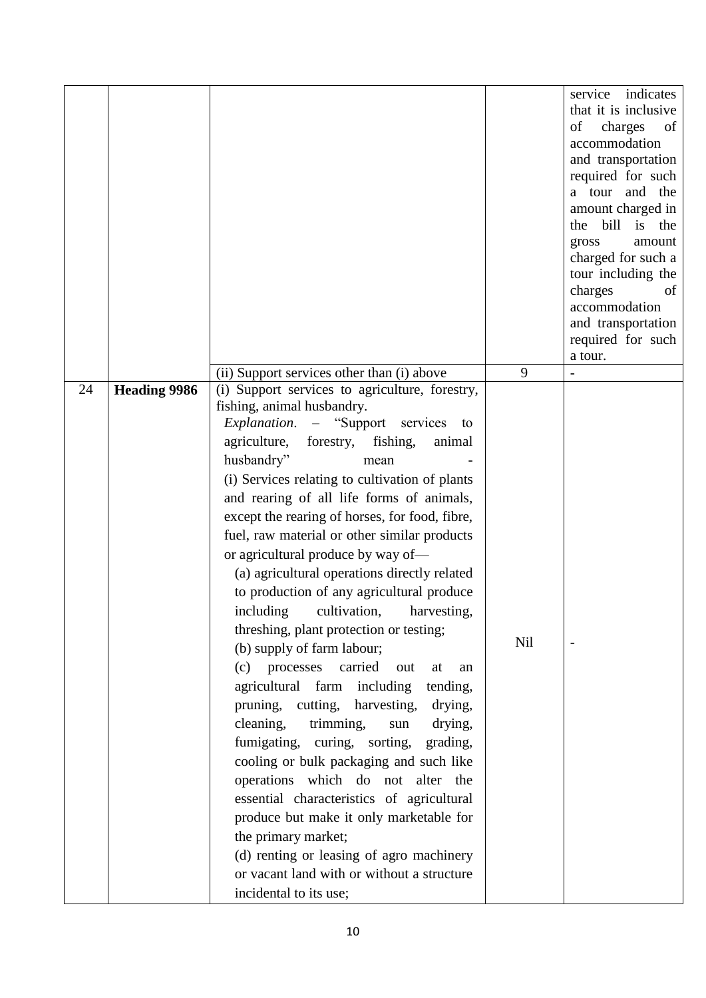|    |                     |                                                                                                                                                                                                                                                                                                                                                                                                                                                                                                                                                                                                                                                                                                                                                                                                                                                                                                                                                                                                                                                                                                                                                                                                        |     | indicates<br>service<br>that it is inclusive<br>of<br>charges<br>of<br>accommodation<br>and transportation<br>required for such<br>a tour and the<br>amount charged in<br>the bill is the<br>gross<br>amount |
|----|---------------------|--------------------------------------------------------------------------------------------------------------------------------------------------------------------------------------------------------------------------------------------------------------------------------------------------------------------------------------------------------------------------------------------------------------------------------------------------------------------------------------------------------------------------------------------------------------------------------------------------------------------------------------------------------------------------------------------------------------------------------------------------------------------------------------------------------------------------------------------------------------------------------------------------------------------------------------------------------------------------------------------------------------------------------------------------------------------------------------------------------------------------------------------------------------------------------------------------------|-----|--------------------------------------------------------------------------------------------------------------------------------------------------------------------------------------------------------------|
|    |                     |                                                                                                                                                                                                                                                                                                                                                                                                                                                                                                                                                                                                                                                                                                                                                                                                                                                                                                                                                                                                                                                                                                                                                                                                        |     | charged for such a<br>tour including the<br>charges<br>of<br>accommodation<br>and transportation<br>required for such<br>a tour.                                                                             |
|    |                     | (ii) Support services other than (i) above                                                                                                                                                                                                                                                                                                                                                                                                                                                                                                                                                                                                                                                                                                                                                                                                                                                                                                                                                                                                                                                                                                                                                             | 9   |                                                                                                                                                                                                              |
| 24 | <b>Heading 9986</b> | (i) Support services to agriculture, forestry,<br>fishing, animal husbandry.<br>Explanation. - "Support services<br>to<br>agriculture,<br>fishing,<br>forestry,<br>animal<br>husbandry"<br>mean<br>(i) Services relating to cultivation of plants<br>and rearing of all life forms of animals,<br>except the rearing of horses, for food, fibre,<br>fuel, raw material or other similar products<br>or agricultural produce by way of-<br>(a) agricultural operations directly related<br>to production of any agricultural produce<br>including<br>cultivation,<br>harvesting.<br>threshing, plant protection or testing;<br>(b) supply of farm labour;<br>(c) processes carried<br>out<br>at<br>an<br>agricultural farm including<br>tending,<br>pruning, cutting, harvesting,<br>drying,<br>cleaning,<br>trimming,<br>drying,<br>sun<br>fumigating, curing, sorting,<br>grading,<br>cooling or bulk packaging and such like<br>operations which do not alter the<br>essential characteristics of agricultural<br>produce but make it only marketable for<br>the primary market;<br>(d) renting or leasing of agro machinery<br>or vacant land with or without a structure<br>incidental to its use; | Nil |                                                                                                                                                                                                              |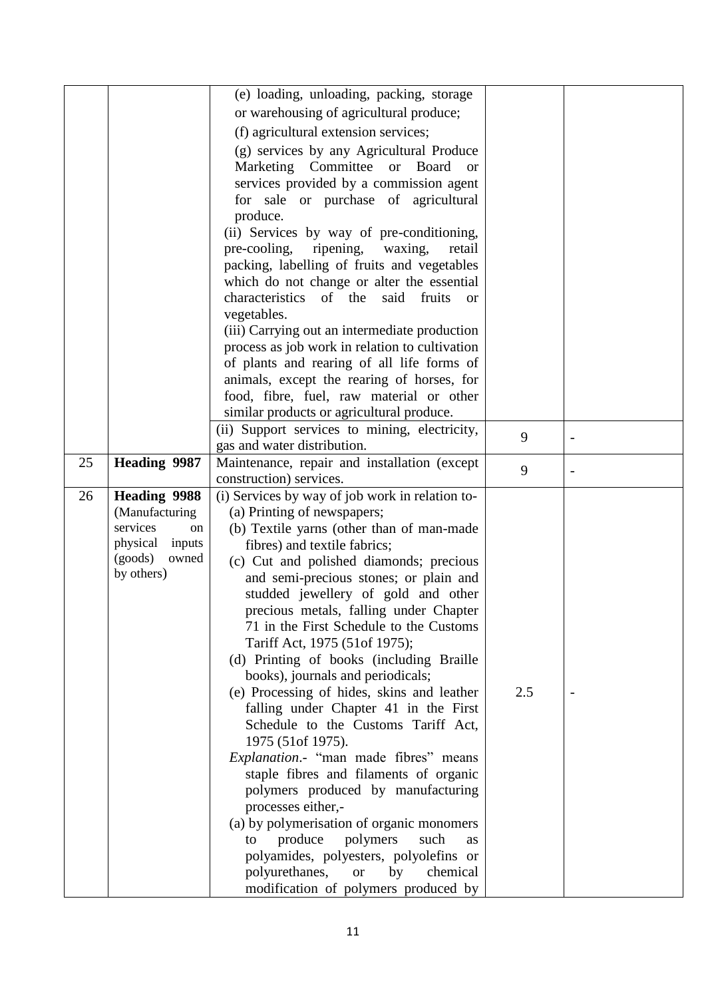|    |                     | (e) loading, unloading, packing, storage                                |     |  |
|----|---------------------|-------------------------------------------------------------------------|-----|--|
|    |                     |                                                                         |     |  |
|    |                     | or warehousing of agricultural produce;                                 |     |  |
|    |                     | (f) agricultural extension services;                                    |     |  |
|    |                     | (g) services by any Agricultural Produce                                |     |  |
|    |                     | Marketing Committee or Board<br><sub>or</sub>                           |     |  |
|    |                     | services provided by a commission agent                                 |     |  |
|    |                     | for sale or purchase of agricultural                                    |     |  |
|    |                     | produce.                                                                |     |  |
|    |                     | (ii) Services by way of pre-conditioning,                               |     |  |
|    |                     | pre-cooling,<br>ripening,<br>waxing,<br>retail                          |     |  |
|    |                     | packing, labelling of fruits and vegetables                             |     |  |
|    |                     | which do not change or alter the essential                              |     |  |
|    |                     | characteristics<br>of the<br>said<br>fruits<br><sub>or</sub>            |     |  |
|    |                     | vegetables.                                                             |     |  |
|    |                     | (iii) Carrying out an intermediate production                           |     |  |
|    |                     | process as job work in relation to cultivation                          |     |  |
|    |                     | of plants and rearing of all life forms of                              |     |  |
|    |                     | animals, except the rearing of horses, for                              |     |  |
|    |                     | food, fibre, fuel, raw material or other                                |     |  |
|    |                     | similar products or agricultural produce.                               |     |  |
|    |                     | (ii) Support services to mining, electricity,                           | 9   |  |
| 25 |                     | gas and water distribution.                                             |     |  |
|    | Heading 9987        | Maintenance, repair and installation (except<br>construction) services. | 9   |  |
| 26 | <b>Heading 9988</b> | (i) Services by way of job work in relation to-                         |     |  |
|    | (Manufacturing)     | (a) Printing of newspapers;                                             |     |  |
|    | services<br>on      | (b) Textile yarns (other than of man-made                               |     |  |
|    | physical<br>inputs  | fibres) and textile fabrics;                                            |     |  |
|    | (goods)<br>owned    | (c) Cut and polished diamonds; precious                                 |     |  |
|    | by others)          | and semi-precious stones; or plain and                                  |     |  |
|    |                     | studded jewellery of gold and other                                     |     |  |
|    |                     | precious metals, falling under Chapter                                  |     |  |
|    |                     | 71 in the First Schedule to the Customs                                 |     |  |
|    |                     | Tariff Act, 1975 (51of 1975);                                           |     |  |
|    |                     | (d) Printing of books (including Braille                                |     |  |
|    |                     | books), journals and periodicals;                                       |     |  |
|    |                     | (e) Processing of hides, skins and leather                              | 2.5 |  |
|    |                     | falling under Chapter 41 in the First                                   |     |  |
|    |                     | Schedule to the Customs Tariff Act,                                     |     |  |
|    |                     | 1975 (51 of 1975).                                                      |     |  |
|    |                     | Explanation.- "man made fibres" means                                   |     |  |
|    |                     | staple fibres and filaments of organic                                  |     |  |
|    |                     | polymers produced by manufacturing                                      |     |  |
|    |                     | processes either,-                                                      |     |  |
|    |                     |                                                                         |     |  |
|    |                     | (a) by polymerisation of organic monomers                               |     |  |
|    |                     | polymers<br>produce<br>such<br>to<br><b>as</b>                          |     |  |
|    |                     | polyamides, polyesters, polyolefins or                                  |     |  |
|    |                     | polyurethanes,<br>by<br>chemical<br><b>or</b>                           |     |  |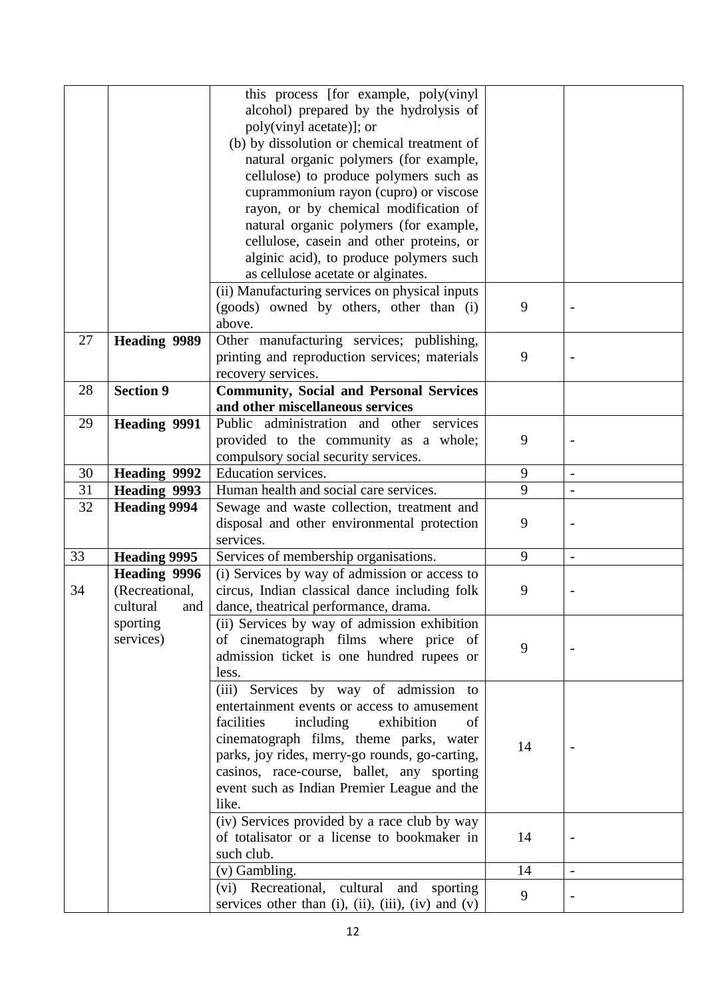|    |                     | this process [for example, poly(vinyl                                                                                |    |                          |
|----|---------------------|----------------------------------------------------------------------------------------------------------------------|----|--------------------------|
|    |                     | alcohol) prepared by the hydrolysis of                                                                               |    |                          |
|    |                     | poly(vinyl acetate)]; or                                                                                             |    |                          |
|    |                     | (b) by dissolution or chemical treatment of                                                                          |    |                          |
|    |                     | natural organic polymers (for example,                                                                               |    |                          |
|    |                     | cellulose) to produce polymers such as                                                                               |    |                          |
|    |                     | cuprammonium rayon (cupro) or viscose                                                                                |    |                          |
|    |                     | rayon, or by chemical modification of                                                                                |    |                          |
|    |                     | natural organic polymers (for example,                                                                               |    |                          |
|    |                     | cellulose, casein and other proteins, or                                                                             |    |                          |
|    |                     | alginic acid), to produce polymers such                                                                              |    |                          |
|    |                     | as cellulose acetate or alginates.                                                                                   |    |                          |
|    |                     | (ii) Manufacturing services on physical inputs                                                                       |    |                          |
|    |                     | (goods) owned by others, other than (i)                                                                              | 9  |                          |
|    |                     | above.                                                                                                               |    |                          |
| 27 | <b>Heading 9989</b> | Other manufacturing services; publishing,                                                                            |    |                          |
|    |                     | printing and reproduction services; materials                                                                        | 9  |                          |
|    |                     | recovery services.                                                                                                   |    |                          |
| 28 | <b>Section 9</b>    | <b>Community, Social and Personal Services</b>                                                                       |    |                          |
|    |                     | and other miscellaneous services                                                                                     |    |                          |
| 29 | <b>Heading 9991</b> | Public administration and other services                                                                             |    |                          |
|    |                     | provided to the community as a whole;                                                                                | 9  |                          |
|    |                     | compulsory social security services.                                                                                 |    |                          |
| 30 | <b>Heading 9992</b> | Education services.                                                                                                  | 9  |                          |
| 31 | <b>Heading 9993</b> | Human health and social care services.                                                                               | 9  | $\overline{\phantom{a}}$ |
|    |                     |                                                                                                                      |    |                          |
| 32 | <b>Heading 9994</b> | Sewage and waste collection, treatment and                                                                           |    |                          |
|    |                     | disposal and other environmental protection                                                                          | 9  |                          |
|    |                     | services.                                                                                                            |    |                          |
| 33 | <b>Heading 9995</b> | Services of membership organisations.                                                                                | 9  | $\overline{\phantom{a}}$ |
|    | <b>Heading 9996</b> | (i) Services by way of admission or access to                                                                        |    |                          |
| 34 | (Recreational,      | circus, Indian classical dance including folk                                                                        | 9  |                          |
|    | cultural<br>and     | dance, theatrical performance, drama.                                                                                |    |                          |
|    | sporting            | (ii) Services by way of admission exhibition                                                                         |    |                          |
|    | services)           | of cinematograph films where price of                                                                                |    |                          |
|    |                     | admission ticket is one hundred rupees or                                                                            | 9  |                          |
|    |                     | less.                                                                                                                |    |                          |
|    |                     | (iii) Services by way of admission to                                                                                |    |                          |
|    |                     | entertainment events or access to amusement                                                                          |    |                          |
|    |                     | exhibition<br>facilities<br>including<br>of                                                                          |    |                          |
|    |                     | cinematograph films, theme parks, water                                                                              |    |                          |
|    |                     | parks, joy rides, merry-go rounds, go-carting,                                                                       | 14 |                          |
|    |                     | casinos, race-course, ballet, any sporting                                                                           |    |                          |
|    |                     | event such as Indian Premier League and the                                                                          |    |                          |
|    |                     | like.                                                                                                                |    |                          |
|    |                     | (iv) Services provided by a race club by way                                                                         |    |                          |
|    |                     | of totalisator or a license to bookmaker in                                                                          | 14 |                          |
|    |                     | such club.                                                                                                           |    |                          |
|    |                     | (v) Gambling.                                                                                                        | 14 | $\blacksquare$           |
|    |                     | Recreational, cultural<br>(vi)<br>and<br>sporting<br>services other than $(i)$ , $(ii)$ , $(iii)$ , $(iv)$ and $(v)$ | 9  |                          |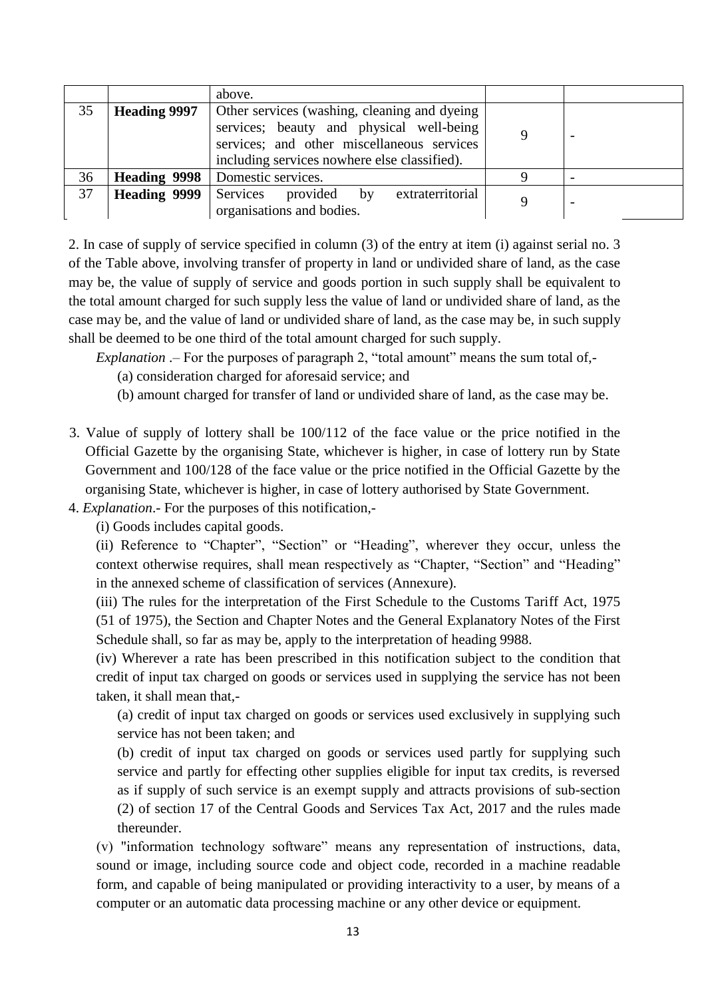|    |                     | above.                                                                                                                                                                                 |   |                          |
|----|---------------------|----------------------------------------------------------------------------------------------------------------------------------------------------------------------------------------|---|--------------------------|
| 35 | <b>Heading 9997</b> | Other services (washing, cleaning and dyeing<br>services; beauty and physical well-being<br>services; and other miscellaneous services<br>including services nowhere else classified). |   |                          |
| 36 | <b>Heading 9998</b> | Domestic services.                                                                                                                                                                     |   |                          |
| 37 | <b>Heading 9999</b> | extraterritorial<br>Services provided by<br>organisations and bodies.                                                                                                                  | a | $\overline{\phantom{0}}$ |

2. In case of supply of service specified in column (3) of the entry at item (i) against serial no. 3 of the Table above, involving transfer of property in land or undivided share of land, as the case may be, the value of supply of service and goods portion in such supply shall be equivalent to the total amount charged for such supply less the value of land or undivided share of land, as the case may be, and the value of land or undivided share of land, as the case may be, in such supply shall be deemed to be one third of the total amount charged for such supply.

*Explanation* .– For the purposes of paragraph 2, "total amount" means the sum total of,-

(a) consideration charged for aforesaid service; and

(b) amount charged for transfer of land or undivided share of land, as the case may be.

- 3. Value of supply of lottery shall be 100/112 of the face value or the price notified in the Official Gazette by the organising State, whichever is higher, in case of lottery run by State Government and 100/128 of the face value or the price notified in the Official Gazette by the organising State, whichever is higher, in case of lottery authorised by State Government.
- 4. *Explanation*.- For the purposes of this notification,-

(i) Goods includes capital goods.

(ii) Reference to "Chapter", "Section" or "Heading", wherever they occur, unless the context otherwise requires, shall mean respectively as "Chapter, "Section" and "Heading" in the annexed scheme of classification of services (Annexure).

(iii) The rules for the interpretation of the First Schedule to the Customs Tariff Act, 1975 (51 of 1975), the Section and Chapter Notes and the General Explanatory Notes of the First Schedule shall, so far as may be, apply to the interpretation of heading 9988.

(iv) Wherever a rate has been prescribed in this notification subject to the condition that credit of input tax charged on goods or services used in supplying the service has not been taken, it shall mean that,-

(a) credit of input tax charged on goods or services used exclusively in supplying such service has not been taken; and

(b) credit of input tax charged on goods or services used partly for supplying such service and partly for effecting other supplies eligible for input tax credits, is reversed as if supply of such service is an exempt supply and attracts provisions of sub-section (2) of section 17 of the Central Goods and Services Tax Act, 2017 and the rules made thereunder.

(v) "information technology software" means any representation of instructions, data, sound or image, including source code and object code, recorded in a machine readable form, and capable of being manipulated or providing interactivity to a user, by means of a computer or an automatic data processing machine or any other device or equipment.